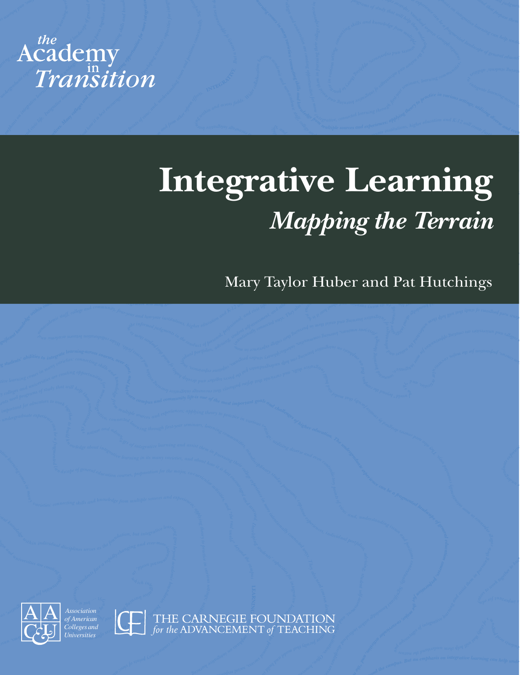

*-across courses, over time, and between campus and c o mm*

# *Sign<sup>i</sup>f<sup>i</sup>can<sup>t</sup> <sup>k</sup>nowl<sup>e</sup>dg<sup>e</sup> <sup>w</sup>ithi<sup>n</sup> <sup>i</sup>ndividua<sup>l</sup> <sup>d</sup>iscip<sup>l</sup>ine<sup>s</sup> <sup>s</sup>erve<sup>s</sup> <sup>a</sup><sup>s</sup> <sup>t</sup>h<sup>e</sup> <sup>f</sup><sup>o</sup>undation, <sup>b</sup>u<sup>t</sup> <sup>i</sup> <sup>n</sup> <sup>t</sup><sup>e</sup>grati<sup>v</sup><sup>e</sup> <sup>l</sup><sup>e</sup>arnin<sup>g</sup> <sup>g</sup><sup>o</sup>e<sup>s</sup> <sup>b</sup>ey<sup>o</sup>n<sup>d</sup> <sup>a</sup>c<sup>a</sup>demi<sup>c</sup> <sup>b</sup>oundaries. <sup>I</sup>nd<sup>e</sup><sup>e</sup>d, <sup>i</sup>n<sup>t</sup><sup>e</sup> <sup>g</sup><sup>r</sup> <sup>a</sup><sup>t</sup> <sup>v</sup><sup>i</sup> <sup>e</sup> <sup>e</sup> <sup>p</sup><sup>x</sup> <sup>e</sup>rience<sup>s</sup> <sup>o</sup>f<sup>t</sup>e<sup>n</sup> <sup>o</sup>ccu<sup>r</sup> <sup>a</sup><sup>s</sup> <sup>l</sup><sup>e</sup> <sup>a</sup>rner<sup>s</sup>*  $\overline{\phantom{a}}$ *<sup>d</sup><sup>n</sup>ac<sup>i</sup> <sup>n</sup>onacad<sup>e</sup>mi<sup>c</sup> <sup>s</sup>t<sup>a</sup>ff, <sup>c</sup>olleg<sup>e</sup> <sup>a</sup>n<sup>d</sup> <sup>c</sup>ommunity, <sup>f</sup><sup>o</sup>ur-y<sup>e</sup>a<sup>r</sup> <sup>a</sup>n<sup>d</sup> <sup>t</sup>wo-y<sup>e</sup>a<sup>r</sup> <sup>i</sup>nstitutions, <sup>h</sup>ighe<sup>r</sup> <sup>e</sup>ducatio<sup>n</sup> <sup>a</sup>n<sup>d</sup> <sup>K</sup>-1<sup>2</sup> <sup>w</sup>il<sup>l</sup> <sup>c</sup>reat<sup>e</sup> <sup>f</sup><sup>u</sup>rth<sup>e</sup><sup>r</sup> <sup>o</sup>pp<sup>o</sup>r<sup>t</sup>un<sup>i</sup>t<sup>i</sup>e<sup>s</sup> <sup>f</sup><sup>o</sup><sup>r</sup> <sup>n</sup><sup>i</sup> <sup>t</sup><sup>e</sup>g<sup>r</sup>ativ<sup>e</sup> <sup>l</sup>ear<sup>n</sup> <sup>n</sup><sup>i</sup> <sup>g</sup> <sup>t</sup>hroughou<sup>t</sup> <sup>s</sup> <sup>u</sup><sup>t</sup> <sup>d</sup> <sup>n</sup><sup>e</sup> <sup>s</sup><sup>t</sup> <sup>u</sup>d<sup>e</sup> '* **Extra** Integrative Least<br>
Mapping the ntegrativ **Example 18 August 18 August 18 August 18 August 18 August 18 August 18 August 18 August 18 August 18 August 18 August 18 August 18 August 18 August 18 August 18 August 18 August 18 August 18 August 18 August 18 August 18 Indive Learning<br>Starning**<br>Mapping the Terrain Integrative Learning<br>Mapping the Terrain<br>Mary Taylor Huber and Pat Hutchings  $errain$ *Mapping the Terrain*

Mary Taylor Huber and Pat Hutchings

*ob <sup>a</sup> <sup>d</sup><sup>n</sup>a,s<sup>e</sup><sup>i</sup>*

Prima to premier individual

*e h nu dergraduate experienc*

*<sup>y</sup> <sup>o</sup><sup>c</sup> <sup>l</sup><sup>l</sup> <sup>g</sup><sup>e</sup> <sup>s</sup><sup>e</sup> <sup>d</sup>n<sup>a</sup>*

*<sup>s</sup><sup>i</sup> <sup>p</sup> <sup>m</sup><sup>i</sup> <sup>r</sup> <sup>o</sup> t*

*et*

Solution refuge with ref notherward restruction and

*u*<sub>b *de a*<sup>*b*</sup> *de a*<sup>*b*</sup> *de a*<sup>*t*</sup> *de a*<sup>*d*</sup> *de a*<sup>*d*</sup> *de a*<sup>*t*</sup> *de a*<sup>*t*</sup></sub>

*<sup>n</sup><sup>e</sup> <sup>d</sup> <sup>n</sup>s<sup>t</sup> <sup>d</sup><sup>e</sup><sup>e</sup> <sup>g</sup><sup>o</sup><sup>r</sup> <sup>p</sup> <sup>m</sup>a<sup>r</sup> <sup>h</sup><sup>t</sup> <sup>y</sup>d<sup>u</sup>t<sup>s</sup> <sup>f</sup> <sup>o</sup> <sup>s</sup>*

 $\epsilon$  *s*  $\delta$  *i*  $\delta$  *f*  $\delta$  *l*  $\delta$  *f*  $\delta$  *l*  $\delta$  *f*  $\delta$  *l*  $\delta$  *f*  $\delta$  *f*  $\delta$  *f*  $\delta$  *f*  $\delta$  *f*  $\delta$  *f*  $\delta$  *f*  $\delta$  *f*  $\delta$  *f*  $\delta$  *f*  $\delta$  *f*  $\delta$  *f*  $\delta$  *f*  $\delta$  *f*  $\delta$  *f*  $\delta$  *f*  $\delta$ 

*<sup>f</sup><sup>o</sup>rme<sup>d</sup> <sup>j</sup>udg<sup>m</sup>e<sup>n</sup>*

r <sup>rea</sup>di<sub>o</sub> an air anns <sup>rea</sup>d fuair <sup>a</sup> Stuitean<br>Bailtean air an t-amhraic Camhair Chean<br>Cairne <sup>an</sup> t-air an t-ainmeil

*<sup>i</sup>nt<sup>e</sup>g<sup>r</sup>at<sup>e</sup> <sup>l</sup>earning-acros<sup>s</sup> <sup>c</sup><sup>o</sup>*

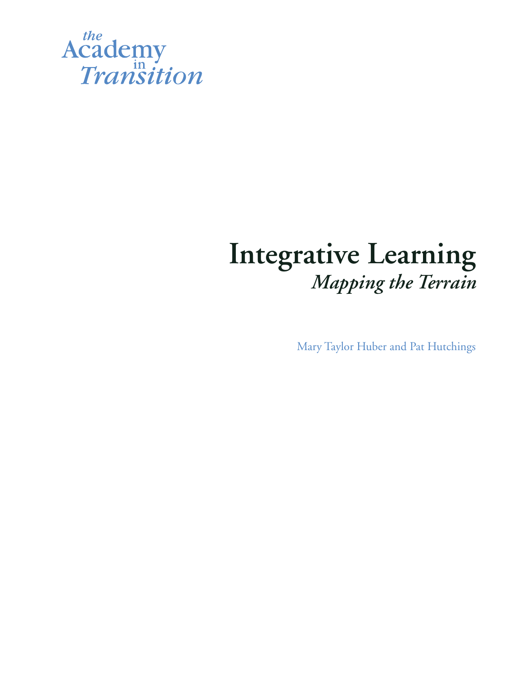

# **Integrative Learning** *Mapping the Terrain*

Mary Taylor Huber and Pat Hutchings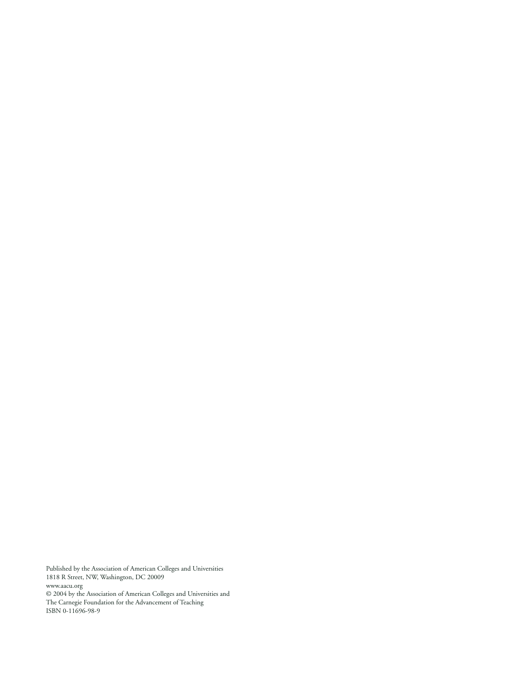Published by the Association of American Colleges and Universities 1818 R Street, NW, Washington, DC 20009 www.aacu.org

© 2004 by the Association of American Colleges and Universities and The Carnegie Foundation for the Advancement of Teaching ISBN 0-11696-98-9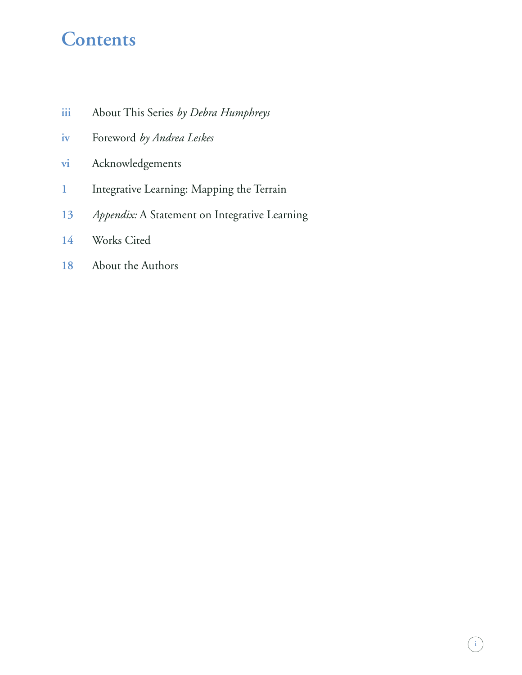# **Contents**

- **iii** About This Series *by Debra Humphreys*
- **iv** Foreword *by Andrea Leskes*
- **vi** Acknowledgements
- **1** Integrative Learning: Mapping the Terrain
- **13** *Appendix:* A Statement on Integrative Learning
- **14** Works Cited
- **18** About the Authors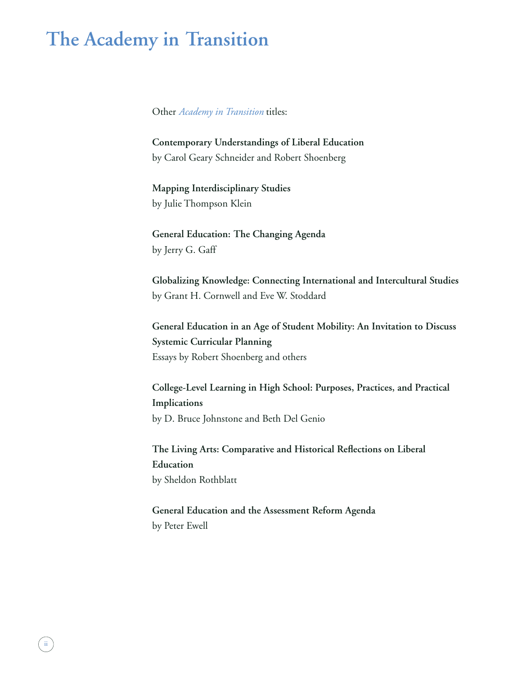# **The Academy in Transition**

Other *Academy in Transition* titles:

**Contemporary Understandings of Liberal Education** by Carol Geary Schneider and Robert Shoenberg

**Mapping Interdisciplinary Studies** by Julie Thompson Klein

**General Education: The Changing Agenda** by Jerry G. Gaff

**Globalizing Knowledge: Connecting International and Intercultural Studies** by Grant H. Cornwell and Eve W. Stoddard

**General Education in an Age of Student Mobility: An Invitation to Discuss Systemic Curricular Planning** Essays by Robert Shoenberg and others

**College-Level Learning in High School: Purposes, Practices, and Practical Implications** by D. Bruce Johnstone and Beth Del Genio

The Living Arts: Comparative and Historical Reflections on Liberal **Education** by Sheldon Rothblatt

**General Education and the Assessment Reform Agenda** by Peter Ewell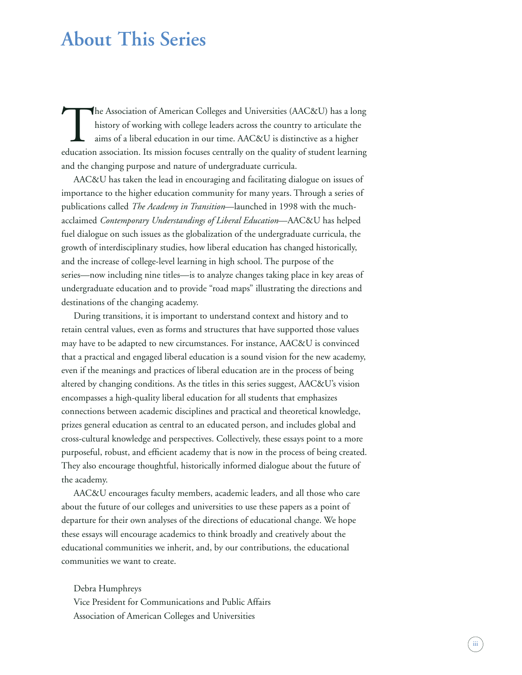## **About This Series**

The Association of American Colleges and Universities (AAC&U) has a long<br>history of working with college leaders across the country to articulate the<br>aims of a liberal education in our time. AAC&U is distinctive as a highe history of working with college leaders across the country to articulate the aims of a liberal education in our time. AAC&U is distinctive as a higher education association. Its mission focuses centrally on the quality of student learning and the changing purpose and nature of undergraduate curricula.

AAC&U has taken the lead in encouraging and facilitating dialogue on issues of importance to the higher education community for many years. Through a series of publications called *The Academy in Transition*—launched in 1998 with the muchacclaimed *Contemporary Understandings of Liberal Education*—AAC&U has helped fuel dialogue on such issues as the globalization of the undergraduate curricula, the growth of interdisciplinary studies, how liberal education has changed historically, and the increase of college-level learning in high school. The purpose of the series—now including nine titles—is to analyze changes taking place in key areas of undergraduate education and to provide "road maps" illustrating the directions and destinations of the changing academy.

During transitions, it is important to understand context and history and to retain central values, even as forms and structures that have supported those values may have to be adapted to new circumstances. For instance, AAC&U is convinced that a practical and engaged liberal education is a sound vision for the new academy, even if the meanings and practices of liberal education are in the process of being altered by changing conditions. As the titles in this series suggest, AAC&U's vision encompasses a high-quality liberal education for all students that emphasizes connections between academic disciplines and practical and theoretical knowledge, prizes general education as central to an educated person, and includes global and cross-cultural knowledge and perspectives. Collectively, these essays point to a more purposeful, robust, and efficient academy that is now in the process of being created. They also encourage thoughtful, historically informed dialogue about the future of the academy.

AAC&U encourages faculty members, academic leaders, and all those who care about the future of our colleges and universities to use these papers as a point of departure for their own analyses of the directions of educational change. We hope these essays will encourage academics to think broadly and creatively about the educational communities we inherit, and, by our contributions, the educational communities we want to create.

Debra Humphreys

Vice President for Communications and Public Affairs Association of American Colleges and Universities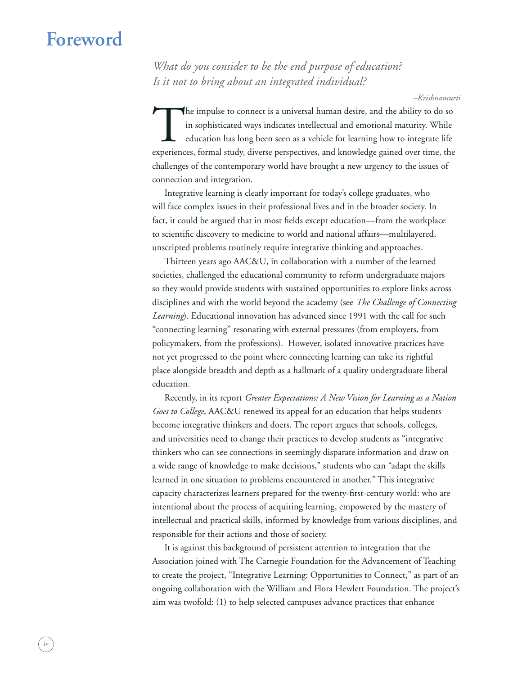### **Foreword**

*What do you consider to be the end purpose of education? Is it not to bring about an integrated individual?*

 *–Krishnamurti*

The impulse to connect is a universal human desire, and the ability to do so in sophisticated ways indicates intellectual and emotional maturity. While education has long been seen as a vehicle for learning how to integrate life experiences, formal study, diverse perspectives, and knowledge gained over time, the challenges of the contemporary world have brought a new urgency to the issues of connection and integration.

Integrative learning is clearly important for today's college graduates, who will face complex issues in their professional lives and in the broader society. In fact, it could be argued that in most fields except education—from the workplace to scientific discovery to medicine to world and national affairs—multilayered, unscripted problems routinely require integrative thinking and approaches.

Thirteen years ago AAC&U, in collaboration with a number of the learned societies, challenged the educational community to reform undergraduate majors so they would provide students with sustained opportunities to explore links across disciplines and with the world beyond the academy (see *The Challenge of Connecting Learning*). Educational innovation has advanced since 1991 with the call for such "connecting learning" resonating with external pressures (from employers, from policymakers, from the professions). However, isolated innovative practices have not yet progressed to the point where connecting learning can take its rightful place alongside breadth and depth as a hallmark of a quality undergraduate liberal education.

Recently, in its report *Greater Expectations: A New Vision for Learning as a Nation Goes to College*, AAC&U renewed its appeal for an education that helps students become integrative thinkers and doers. The report argues that schools, colleges, and universities need to change their practices to develop students as "integrative thinkers who can see connections in seemingly disparate information and draw on a wide range of knowledge to make decisions," students who can "adapt the skills learned in one situation to problems encountered in another." This integrative capacity characterizes learners prepared for the twenty-first-century world: who are intentional about the process of acquiring learning, empowered by the mastery of intellectual and practical skills, informed by knowledge from various disciplines, and responsible for their actions and those of society.

It is against this background of persistent attention to integration that the Association joined with The Carnegie Foundation for the Advancement of Teaching to create the project, "Integrative Learning: Opportunities to Connect," as part of an ongoing collaboration with the William and Flora Hewlett Foundation. The project's aim was twofold: (1) to help selected campuses advance practices that enhance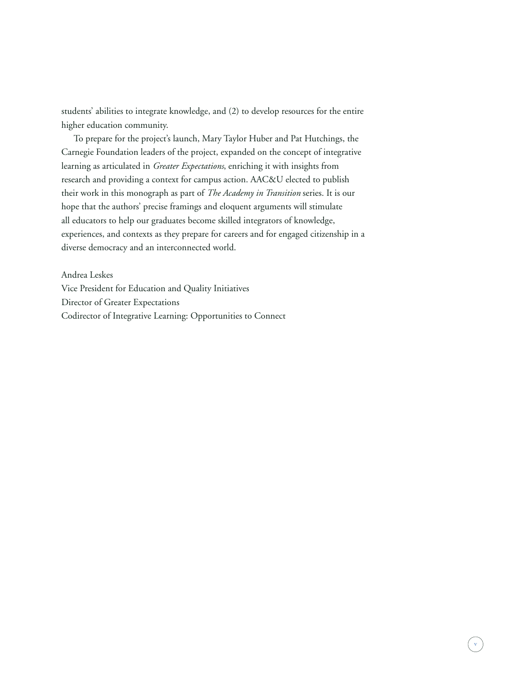students' abilities to integrate knowledge, and (2) to develop resources for the entire higher education community.

To prepare for the project's launch, Mary Taylor Huber and Pat Hutchings, the Carnegie Foundation leaders of the project, expanded on the concept of integrative learning as articulated in *Greater Expectations*, enriching it with insights from research and providing a context for campus action. AAC&U elected to publish their work in this monograph as part of *The Academy in Transition* series. It is our hope that the authors' precise framings and eloquent arguments will stimulate all educators to help our graduates become skilled integrators of knowledge, experiences, and contexts as they prepare for careers and for engaged citizenship in a diverse democracy and an interconnected world.

Andrea Leskes Vice President for Education and Quality Initiatives Director of Greater Expectations Codirector of Integrative Learning: Opportunities to Connect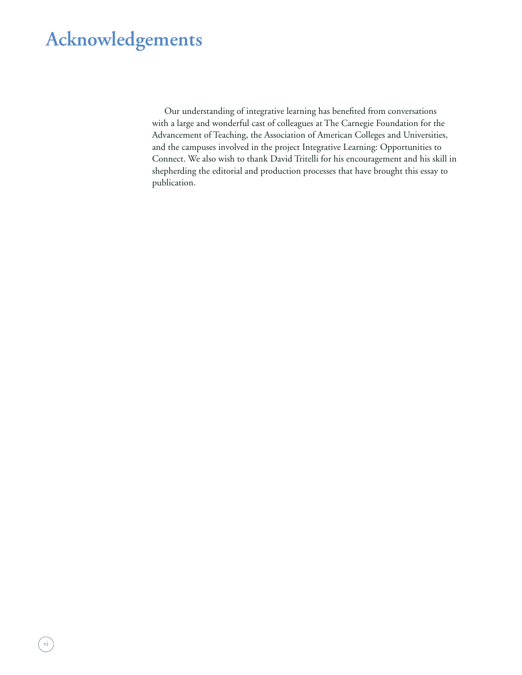# **Acknowledgements**

Our understanding of integrative learning has benefited from conversations with a large and wonderful cast of colleagues at The Carnegie Foundation for the Advancement of Teaching, the Association of American Colleges and Universities, and the campuses involved in the project Integrative Learning: Opportunities to Connect. We also wish to thank David Tritelli for his encouragement and his skill in shepherding the editorial and production processes that have brought this essay to publication.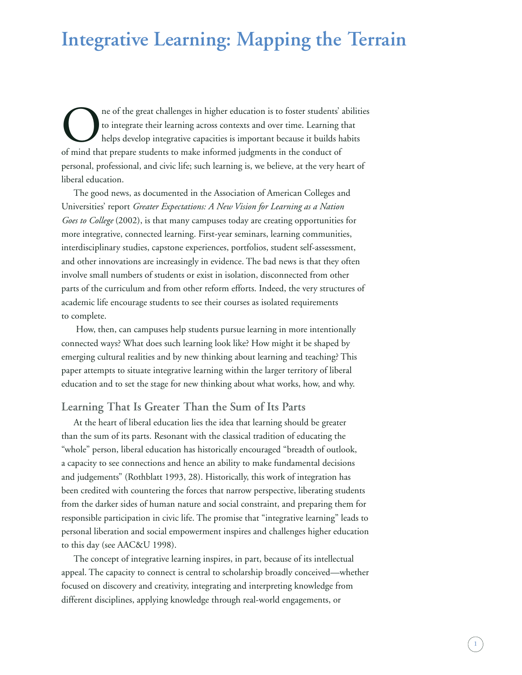# **Integrative Learning: Mapping the Terrain**

The of the great challenges in higher education is to foster students' abilities<br>to integrate their learning across contexts and over time. Learning that<br>helps develop integrative capacities is important because it builds to integrate their learning across contexts and over time. Learning that helps develop integrative capacities is important because it builds habits of mind that prepare students to make informed judgments in the conduct of personal, professional, and civic life; such learning is, we believe, at the very heart of liberal education.

The good news, as documented in the Association of American Colleges and Universities' report *Greater Expectations: A New Vision for Learning as a Nation Goes to College* (2002), is that many campuses today are creating opportunities for more integrative, connected learning. First-year seminars, learning communities, interdisciplinary studies, capstone experiences, portfolios, student self-assessment, and other innovations are increasingly in evidence. The bad news is that they often involve small numbers of students or exist in isolation, disconnected from other parts of the curriculum and from other reform efforts. Indeed, the very structures of academic life encourage students to see their courses as isolated requirements to complete.

 How, then, can campuses help students pursue learning in more intentionally connected ways? What does such learning look like? How might it be shaped by emerging cultural realities and by new thinking about learning and teaching? This paper attempts to situate integrative learning within the larger territory of liberal education and to set the stage for new thinking about what works, how, and why.

#### **Learning That Is Greater Than the Sum of Its Parts**

At the heart of liberal education lies the idea that learning should be greater than the sum of its parts. Resonant with the classical tradition of educating the "whole" person, liberal education has historically encouraged "breadth of outlook, a capacity to see connections and hence an ability to make fundamental decisions and judgements" (Rothblatt 1993, 28). Historically, this work of integration has been credited with countering the forces that narrow perspective, liberating students from the darker sides of human nature and social constraint, and preparing them for responsible participation in civic life. The promise that "integrative learning" leads to personal liberation and social empowerment inspires and challenges higher education to this day (see AAC&U 1998).

The concept of integrative learning inspires, in part, because of its intellectual appeal. The capacity to connect is central to scholarship broadly conceived—whether focused on discovery and creativity, integrating and interpreting knowledge from different disciplines, applying knowledge through real-world engagements, or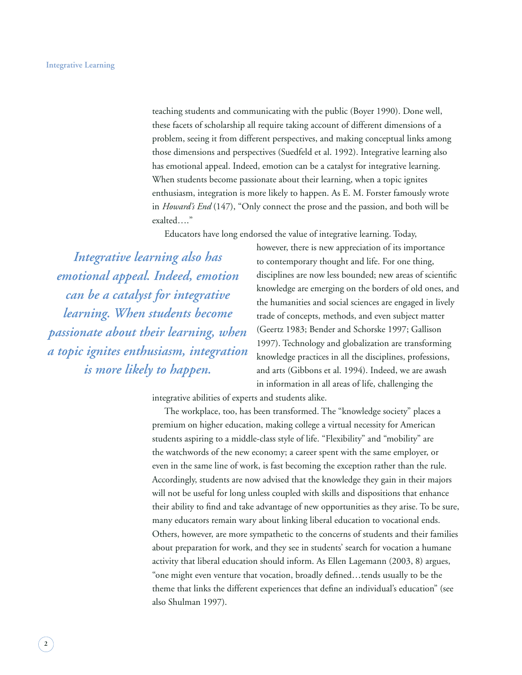teaching students and communicating with the public (Boyer 1990). Done well, these facets of scholarship all require taking account of different dimensions of a problem, seeing it from different perspectives, and making conceptual links among those dimensions and perspectives (Suedfeld et al. 1992). Integrative learning also has emotional appeal. Indeed, emotion can be a catalyst for integrative learning. When students become passionate about their learning, when a topic ignites enthusiasm, integration is more likely to happen. As E. M. Forster famously wrote in *Howard's End* (147), "Only connect the prose and the passion, and both will be exalted…."

Educators have long endorsed the value of integrative learning. Today,

*Integrative learning also has emotional appeal. Indeed, emotion can be a catalyst for integrative learning. When students become passionate about their learning, when a topic ignites enthusiasm, integration is more likely to happen.*

however, there is new appreciation of its importance to contemporary thought and life. For one thing, disciplines are now less bounded; new areas of scientific knowledge are emerging on the borders of old ones, and the humanities and social sciences are engaged in lively trade of concepts, methods, and even subject matter (Geertz 1983; Bender and Schorske 1997; Gallison 1997). Technology and globalization are transforming knowledge practices in all the disciplines, professions, and arts (Gibbons et al. 1994). Indeed, we are awash in information in all areas of life, challenging the

integrative abilities of experts and students alike.

The workplace, too, has been transformed. The "knowledge society" places a premium on higher education, making college a virtual necessity for American students aspiring to a middle-class style of life. "Flexibility" and "mobility" are the watchwords of the new economy; a career spent with the same employer, or even in the same line of work, is fast becoming the exception rather than the rule. Accordingly, students are now advised that the knowledge they gain in their majors will not be useful for long unless coupled with skills and dispositions that enhance their ability to find and take advantage of new opportunities as they arise. To be sure, many educators remain wary about linking liberal education to vocational ends. Others, however, are more sympathetic to the concerns of students and their families about preparation for work, and they see in students' search for vocation a humane activity that liberal education should inform. As Ellen Lagemann (2003, 8) argues, "one might even venture that vocation, broadly defined…tends usually to be the theme that links the different experiences that define an individual's education" (see also Shulman 1997).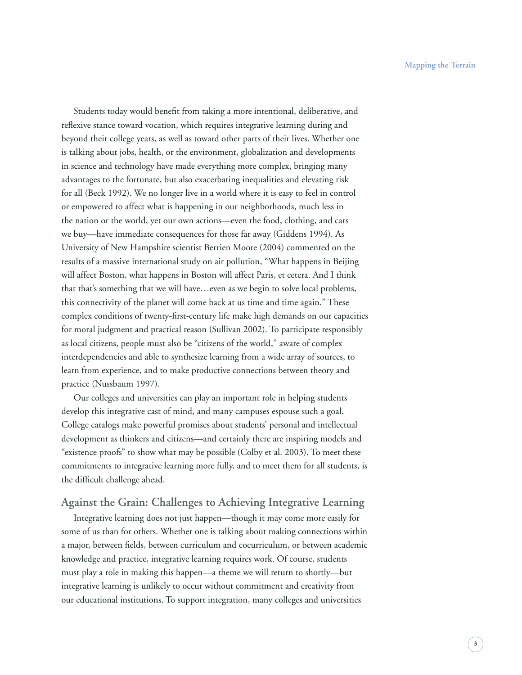Students today would benefit from taking a more intentional, deliberative, and reflexive stance toward vocation, which requires integrative learning during and beyond their college years, as well as toward other parts of their lives. Whether one is talking about jobs, health, or the environment, globalization and developments in science and technology have made everything more complex, bringing many advantages to the fortunate, but also exacerbating inequalities and elevating risk for all (Beck 1992). We no longer live in a world where it is easy to feel in control or empowered to affect what is happening in our neighborhoods, much less in the nation or the world, yet our own actions—even the food, clothing, and cars we buy—have immediate consequences for those far away (Giddens 1994). As University of New Hampshire scientist Berrien Moore (2004) commented on the results of a massive international study on air pollution, "What happens in Beijing will affect Boston, what happens in Boston will affect Paris, et cetera. And I think that that's something that we will have…even as we begin to solve local problems, this connectivity of the planet will come back at us time and time again." These complex conditions of twenty-first-century life make high demands on our capacities for moral judgment and practical reason (Sullivan 2002). To participate responsibly as local citizens, people must also be "citizens of the world," aware of complex interdependencies and able to synthesize learning from a wide array of sources, to learn from experience, and to make productive connections between theory and practice (Nussbaum 1997).

Our colleges and universities can play an important role in helping students develop this integrative cast of mind, and many campuses espouse such a goal. College catalogs make powerful promises about students' personal and intellectual development as thinkers and citizens—and certainly there are inspiring models and "existence proofs" to show what may be possible (Colby et al. 2003). To meet these commitments to integrative learning more fully, and to meet them for all students, is the difficult challenge ahead.

#### **Against the Grain: Challenges to Achieving Integrative Learning**

Integrative learning does not just happen—though it may come more easily for some of us than for others. Whether one is talking about making connections within a major, between fields, between curriculum and cocurriculum, or between academic knowledge and practice, integrative learning requires work. Of course, students must play a role in making this happen—a theme we will return to shortly—but integrative learning is unlikely to occur without commitment and creativity from our educational institutions. To support integration, many colleges and universities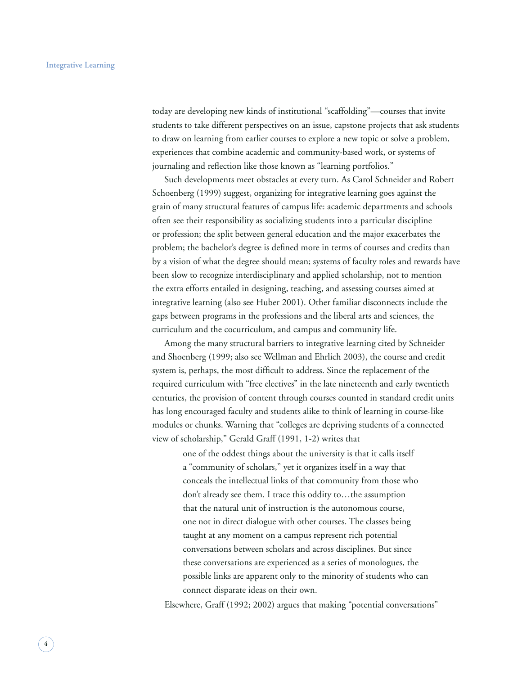today are developing new kinds of institutional "scaffolding"—courses that invite students to take different perspectives on an issue, capstone projects that ask students to draw on learning from earlier courses to explore a new topic or solve a problem, experiences that combine academic and community-based work, or systems of journaling and reflection like those known as "learning portfolios."

Such developments meet obstacles at every turn. As Carol Schneider and Robert Schoenberg (1999) suggest, organizing for integrative learning goes against the grain of many structural features of campus life: academic departments and schools often see their responsibility as socializing students into a particular discipline or profession; the split between general education and the major exacerbates the problem; the bachelor's degree is defined more in terms of courses and credits than by a vision of what the degree should mean; systems of faculty roles and rewards have been slow to recognize interdisciplinary and applied scholarship, not to mention the extra efforts entailed in designing, teaching, and assessing courses aimed at integrative learning (also see Huber 2001). Other familiar disconnects include the gaps between programs in the professions and the liberal arts and sciences, the curriculum and the cocurriculum, and campus and community life.

Among the many structural barriers to integrative learning cited by Schneider and Shoenberg (1999; also see Wellman and Ehrlich 2003), the course and credit system is, perhaps, the most difficult to address. Since the replacement of the required curriculum with "free electives" in the late nineteenth and early twentieth centuries, the provision of content through courses counted in standard credit units has long encouraged faculty and students alike to think of learning in course-like modules or chunks. Warning that "colleges are depriving students of a connected view of scholarship," Gerald Graff (1991, 1-2) writes that

> one of the oddest things about the university is that it calls itself a "community of scholars," yet it organizes itself in a way that conceals the intellectual links of that community from those who don't already see them. I trace this oddity to…the assumption that the natural unit of instruction is the autonomous course, one not in direct dialogue with other courses. The classes being taught at any moment on a campus represent rich potential conversations between scholars and across disciplines. But since these conversations are experienced as a series of monologues, the possible links are apparent only to the minority of students who can connect disparate ideas on their own.

Elsewhere, Graff (1992; 2002) argues that making "potential conversations"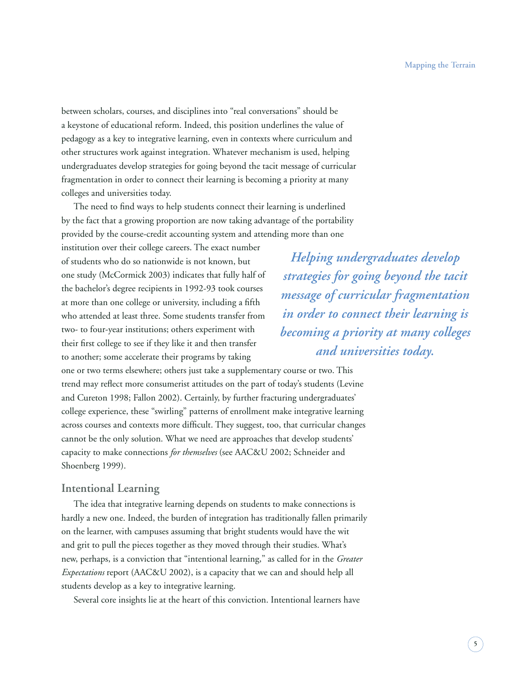between scholars, courses, and disciplines into "real conversations" should be a keystone of educational reform. Indeed, this position underlines the value of pedagogy as a key to integrative learning, even in contexts where curriculum and other structures work against integration. Whatever mechanism is used, helping undergraduates develop strategies for going beyond the tacit message of curricular fragmentation in order to connect their learning is becoming a priority at many colleges and universities today.

The need to find ways to help students connect their learning is underlined by the fact that a growing proportion are now taking advantage of the portability provided by the course-credit accounting system and attending more than one

institution over their college careers. The exact number of students who do so nationwide is not known, but one study (McCormick 2003) indicates that fully half of the bachelor's degree recipients in 1992-93 took courses at more than one college or university, including a fifth who attended at least three. Some students transfer from two- to four-year institutions; others experiment with their first college to see if they like it and then transfer to another; some accelerate their programs by taking

*Helping undergraduates develop strategies for going beyond the tacit message of curricular fragmentation in order to connect their learning is becoming a priority at many colleges and universities today.* 

one or two terms elsewhere; others just take a supplementary course or two. This trend may reflect more consumerist attitudes on the part of today's students (Levine and Cureton 1998; Fallon 2002). Certainly, by further fracturing undergraduates' college experience, these "swirling" patterns of enrollment make integrative learning across courses and contexts more difficult. They suggest, too, that curricular changes cannot be the only solution. What we need are approaches that develop students' capacity to make connections *for themselves* (see AAC&U 2002; Schneider and Shoenberg 1999).

#### **Intentional Learning**

The idea that integrative learning depends on students to make connections is hardly a new one. Indeed, the burden of integration has traditionally fallen primarily on the learner, with campuses assuming that bright students would have the wit and grit to pull the pieces together as they moved through their studies. What's new, perhaps, is a conviction that "intentional learning," as called for in the *Greater Expectations* report (AAC&U 2002), is a capacity that we can and should help all students develop as a key to integrative learning.

Several core insights lie at the heart of this conviction. Intentional learners have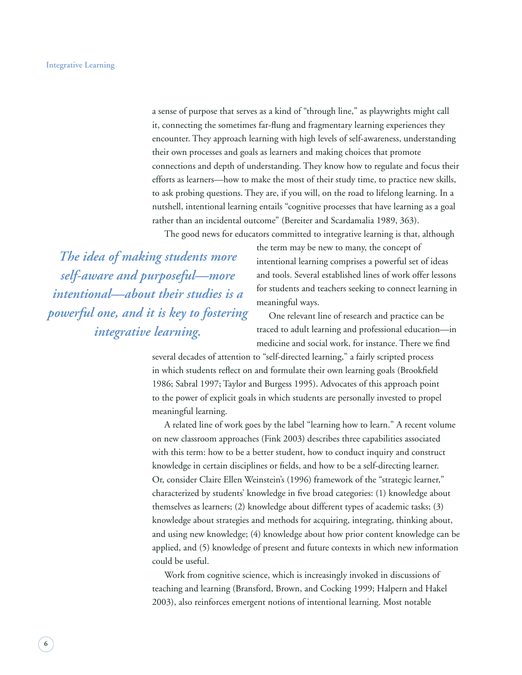a sense of purpose that serves as a kind of "through line," as playwrights might call it, connecting the sometimes far-flung and fragmentary learning experiences they encounter. They approach learning with high levels of self-awareness, understanding their own processes and goals as learners and making choices that promote connections and depth of understanding. They know how to regulate and focus their efforts as learners—how to make the most of their study time, to practice new skills, to ask probing questions. They are, if you will, on the road to lifelong learning. In a nutshell, intentional learning entails "cognitive processes that have learning as a goal rather than an incidental outcome" (Bereiter and Scardamalia 1989, 363).

The good news for educators committed to integrative learning is that, although

*The idea of making students more self-aware and purposeful—more intentional—about their studies is a powerful one, and it is key to fostering integrative learning.*

the term may be new to many, the concept of intentional learning comprises a powerful set of ideas and tools. Several established lines of work offer lessons for students and teachers seeking to connect learning in meaningful ways.

One relevant line of research and practice can be traced to adult learning and professional education—in medicine and social work, for instance. There we find

several decades of attention to "self-directed learning," a fairly scripted process in which students reflect on and formulate their own learning goals (Brookfield 1986; Sabral 1997; Taylor and Burgess 1995). Advocates of this approach point to the power of explicit goals in which students are personally invested to propel meaningful learning.

A related line of work goes by the label "learning how to learn." A recent volume on new classroom approaches (Fink 2003) describes three capabilities associated with this term: how to be a better student, how to conduct inquiry and construct knowledge in certain disciplines or fields, and how to be a self-directing learner. Or, consider Claire Ellen Weinstein's (1996) framework of the "strategic learner," characterized by students' knowledge in five broad categories: (1) knowledge about themselves as learners; (2) knowledge about different types of academic tasks; (3) knowledge about strategies and methods for acquiring, integrating, thinking about, and using new knowledge; (4) knowledge about how prior content knowledge can be applied, and (5) knowledge of present and future contexts in which new information could be useful.

Work from cognitive science, which is increasingly invoked in discussions of teaching and learning (Bransford, Brown, and Cocking 1999; Halpern and Hakel 2003), also reinforces emergent notions of intentional learning. Most notable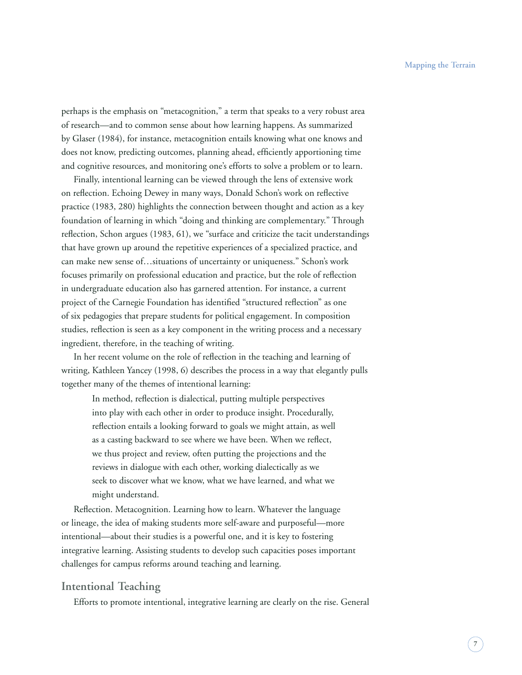perhaps is the emphasis on "metacognition," a term that speaks to a very robust area of research—and to common sense about how learning happens. As summarized by Glaser (1984), for instance, metacognition entails knowing what one knows and does not know, predicting outcomes, planning ahead, efficiently apportioning time and cognitive resources, and monitoring one's efforts to solve a problem or to learn.

Finally, intentional learning can be viewed through the lens of extensive work on reflection. Echoing Dewey in many ways, Donald Schon's work on reflective practice (1983, 280) highlights the connection between thought and action as a key foundation of learning in which "doing and thinking are complementary." Through reflection, Schon argues (1983, 61), we "surface and criticize the tacit understandings that have grown up around the repetitive experiences of a specialized practice, and can make new sense of…situations of uncertainty or uniqueness." Schon's work focuses primarily on professional education and practice, but the role of reflection in undergraduate education also has garnered attention. For instance, a current project of the Carnegie Foundation has identified "structured reflection" as one of six pedagogies that prepare students for political engagement. In composition studies, reflection is seen as a key component in the writing process and a necessary ingredient, therefore, in the teaching of writing.

In her recent volume on the role of reflection in the teaching and learning of writing, Kathleen Yancey (1998, 6) describes the process in a way that elegantly pulls together many of the themes of intentional learning:

In method, reflection is dialectical, putting multiple perspectives into play with each other in order to produce insight. Procedurally, reflection entails a looking forward to goals we might attain, as well as a casting backward to see where we have been. When we reflect, we thus project and review, often putting the projections and the reviews in dialogue with each other, working dialectically as we seek to discover what we know, what we have learned, and what we might understand.

Reflection. Metacognition. Learning how to learn. Whatever the language or lineage, the idea of making students more self-aware and purposeful—more intentional—about their studies is a powerful one, and it is key to fostering integrative learning. Assisting students to develop such capacities poses important challenges for campus reforms around teaching and learning.

#### **Intentional Teaching**

Efforts to promote intentional, integrative learning are clearly on the rise. General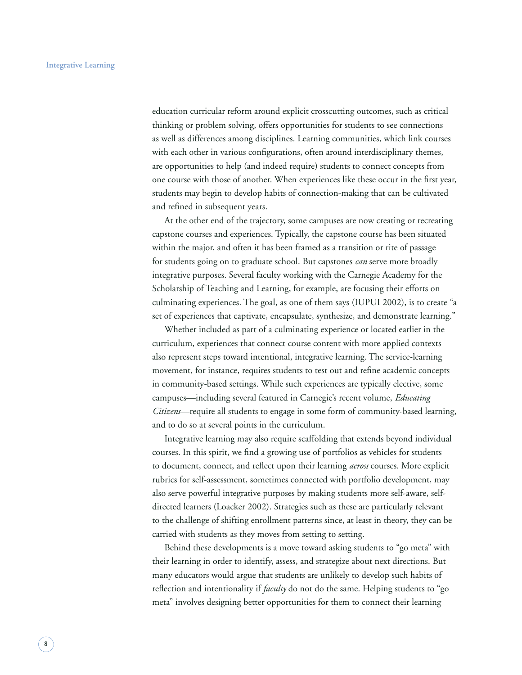education curricular reform around explicit crosscutting outcomes, such as critical thinking or problem solving, offers opportunities for students to see connections as well as differences among disciplines. Learning communities, which link courses with each other in various configurations, often around interdisciplinary themes, are opportunities to help (and indeed require) students to connect concepts from one course with those of another. When experiences like these occur in the first year, students may begin to develop habits of connection-making that can be cultivated and refined in subsequent years.

At the other end of the trajectory, some campuses are now creating or recreating capstone courses and experiences. Typically, the capstone course has been situated within the major, and often it has been framed as a transition or rite of passage for students going on to graduate school. But capstones *can* serve more broadly integrative purposes. Several faculty working with the Carnegie Academy for the Scholarship of Teaching and Learning, for example, are focusing their efforts on culminating experiences. The goal, as one of them says (IUPUI 2002), is to create "a set of experiences that captivate, encapsulate, synthesize, and demonstrate learning."

Whether included as part of a culminating experience or located earlier in the curriculum, experiences that connect course content with more applied contexts also represent steps toward intentional, integrative learning. The service-learning movement, for instance, requires students to test out and refine academic concepts in community-based settings. While such experiences are typically elective, some campuses—including several featured in Carnegie's recent volume, *Educating Citizens*—require all students to engage in some form of community-based learning, and to do so at several points in the curriculum.

Integrative learning may also require scaffolding that extends beyond individual courses. In this spirit, we find a growing use of portfolios as vehicles for students to document, connect, and reflect upon their learning *across* courses. More explicit rubrics for self-assessment, sometimes connected with portfolio development, may also serve powerful integrative purposes by making students more self-aware, selfdirected learners (Loacker 2002). Strategies such as these are particularly relevant to the challenge of shifting enrollment patterns since, at least in theory, they can be carried with students as they moves from setting to setting.

Behind these developments is a move toward asking students to "go meta" with their learning in order to identify, assess, and strategize about next directions. But many educators would argue that students are unlikely to develop such habits of reflection and intentionality if *faculty* do not do the same. Helping students to "go meta" involves designing better opportunities for them to connect their learning

**8 9**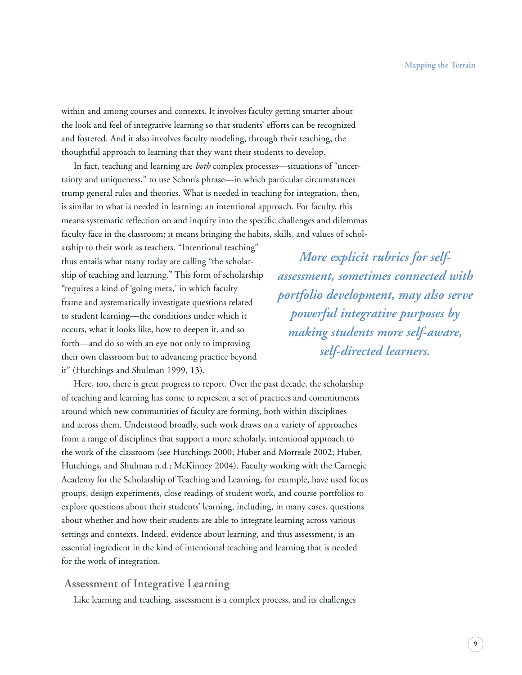within and among courses and contexts. It involves faculty getting smarter about the look and feel of integrative learning so that students' efforts can be recognized and fostered. And it also involves faculty modeling, through their teaching, the thoughtful approach to learning that they want their students to develop.

In fact, teaching and learning are *both* complex processes—situations of "uncertainty and uniqueness," to use Schon's phrase—in which particular circumstances trump general rules and theories. What is needed in teaching for integration, then, is similar to what is needed in learning: an intentional approach. For faculty, this means systematic reflection on and inquiry into the specific challenges and dilemmas faculty face in the classroom; it means bringing the habits, skills, and values of schol-

arship to their work as teachers. "Intentional teaching" thus entails what many today are calling "the scholarship of teaching and learning." This form of scholarship "requires a kind of 'going meta,' in which faculty frame and systematically investigate questions related to student learning—the conditions under which it occurs, what it looks like, how to deepen it, and so forth—and do so with an eye not only to improving their own classroom but to advancing practice beyond it" (Hutchings and Shulman 1999, 13).

*More explicit rubrics for selfassessment, sometimes connected with portfolio development, may also serve powerful integrative purposes by making students more self-aware, self-directed learners.* 

Here, too, there is great progress to report. Over the past decade, the scholarship of teaching and learning has come to represent a set of practices and commitments around which new communities of faculty are forming, both within disciplines and across them. Understood broadly, such work draws on a variety of approaches from a range of disciplines that support a more scholarly, intentional approach to the work of the classroom (see Hutchings 2000; Huber and Morreale 2002; Huber, Hutchings, and Shulman n.d.; McKinney 2004). Faculty working with the Carnegie Academy for the Scholarship of Teaching and Learning, for example, have used focus groups, design experiments, close readings of student work, and course portfolios to explore questions about their students' learning, including, in many cases, questions about whether and how their students are able to integrate learning across various settings and contexts. Indeed, evidence about learning, and thus assessment, is an essential ingredient in the kind of intentional teaching and learning that is needed for the work of integration.

#### **Assessment of Integrative Learning**

Like learning and teaching, assessment is a complex process, and its challenges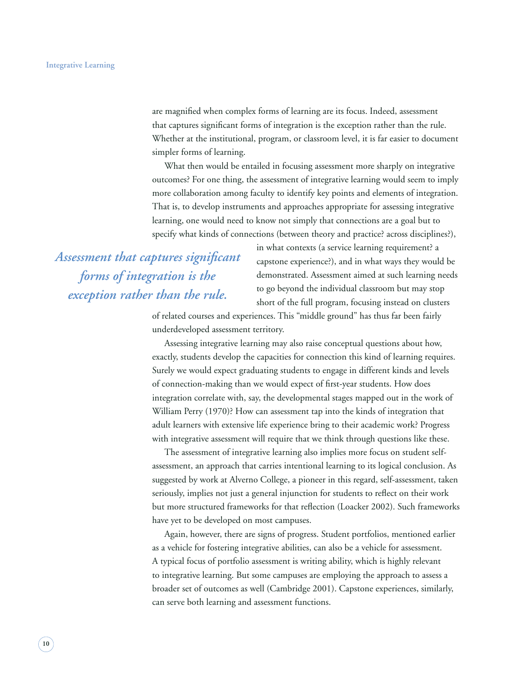are magnified when complex forms of learning are its focus. Indeed, assessment that captures significant forms of integration is the exception rather than the rule. Whether at the institutional, program, or classroom level, it is far easier to document simpler forms of learning.

What then would be entailed in focusing assessment more sharply on integrative outcomes? For one thing, the assessment of integrative learning would seem to imply more collaboration among faculty to identify key points and elements of integration. That is, to develop instruments and approaches appropriate for assessing integrative learning, one would need to know not simply that connections are a goal but to specify what kinds of connections (between theory and practice? across disciplines?),

*Assessment that captures signifi cant forms of integration is the exception rather than the rule.* 

in what contexts (a service learning requirement? a capstone experience?), and in what ways they would be demonstrated. Assessment aimed at such learning needs to go beyond the individual classroom but may stop short of the full program, focusing instead on clusters

of related courses and experiences. This "middle ground" has thus far been fairly underdeveloped assessment territory.

Assessing integrative learning may also raise conceptual questions about how, exactly, students develop the capacities for connection this kind of learning requires. Surely we would expect graduating students to engage in different kinds and levels of connection-making than we would expect of first-year students. How does integration correlate with, say, the developmental stages mapped out in the work of William Perry (1970)? How can assessment tap into the kinds of integration that adult learners with extensive life experience bring to their academic work? Progress with integrative assessment will require that we think through questions like these.

The assessment of integrative learning also implies more focus on student selfassessment, an approach that carries intentional learning to its logical conclusion. As suggested by work at Alverno College, a pioneer in this regard, self-assessment, taken seriously, implies not just a general injunction for students to reflect on their work but more structured frameworks for that reflection (Loacker 2002). Such frameworks have yet to be developed on most campuses.

Again, however, there are signs of progress. Student portfolios, mentioned earlier as a vehicle for fostering integrative abilities, can also be a vehicle for assessment. A typical focus of portfolio assessment is writing ability, which is highly relevant to integrative learning. But some campuses are employing the approach to assess a broader set of outcomes as well (Cambridge 2001). Capstone experiences, similarly, can serve both learning and assessment functions.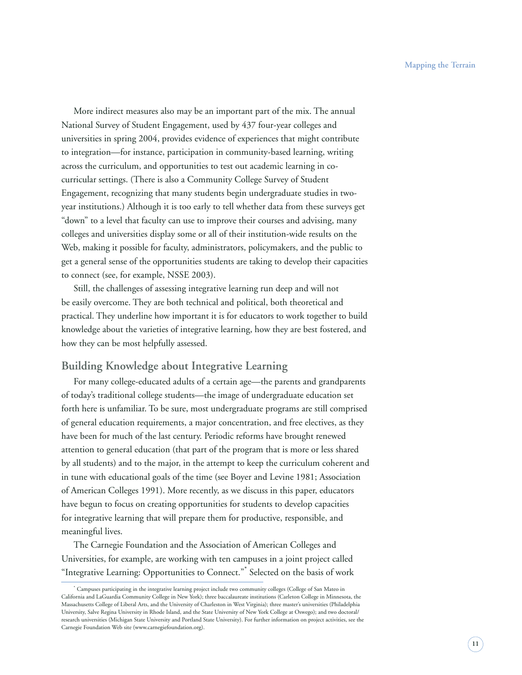More indirect measures also may be an important part of the mix. The annual National Survey of Student Engagement, used by 437 four-year colleges and universities in spring 2004, provides evidence of experiences that might contribute to integration—for instance, participation in community-based learning, writing across the curriculum, and opportunities to test out academic learning in cocurricular settings. (There is also a Community College Survey of Student Engagement, recognizing that many students begin undergraduate studies in twoyear institutions.) Although it is too early to tell whether data from these surveys get "down" to a level that faculty can use to improve their courses and advising, many colleges and universities display some or all of their institution-wide results on the Web, making it possible for faculty, administrators, policymakers, and the public to get a general sense of the opportunities students are taking to develop their capacities to connect (see, for example, NSSE 2003).

Still, the challenges of assessing integrative learning run deep and will not be easily overcome. They are both technical and political, both theoretical and practical. They underline how important it is for educators to work together to build knowledge about the varieties of integrative learning, how they are best fostered, and how they can be most helpfully assessed.

#### **Building Knowledge about Integrative Learning**

For many college-educated adults of a certain age—the parents and grandparents of today's traditional college students—the image of undergraduate education set forth here is unfamiliar. To be sure, most undergraduate programs are still comprised of general education requirements, a major concentration, and free electives, as they have been for much of the last century. Periodic reforms have brought renewed attention to general education (that part of the program that is more or less shared by all students) and to the major, in the attempt to keep the curriculum coherent and in tune with educational goals of the time (see Boyer and Levine 1981; Association of American Colleges 1991). More recently, as we discuss in this paper, educators have begun to focus on creating opportunities for students to develop capacities for integrative learning that will prepare them for productive, responsible, and meaningful lives.

The Carnegie Foundation and the Association of American Colleges and Universities, for example, are working with ten campuses in a joint project called "Integrative Learning: Opportunities to Connect."\* Selected on the basis of work

<sup>\*</sup> Campuses participating in the integrative learning project include two community colleges (College of San Mateo in California and LaGuardia Community College in New York); three baccalaureate institutions (Carleton College in Minnesota, the Massachusetts College of Liberal Arts, and the University of Charleston in West Virginia); three master's universities (Philadelphia University, Salve Regina University in Rhode Island, and the State University of New York College at Oswego); and two doctoral/ research universities (Michigan State University and Portland State University). For further information on project activities, see the Carnegie Foundation Web site (www.carnegiefoundation.org).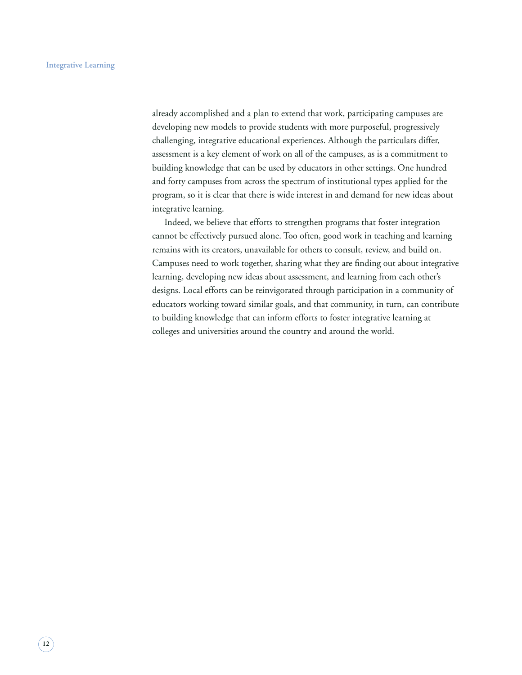already accomplished and a plan to extend that work, participating campuses are developing new models to provide students with more purposeful, progressively challenging, integrative educational experiences. Although the particulars differ, assessment is a key element of work on all of the campuses, as is a commitment to building knowledge that can be used by educators in other settings. One hundred and forty campuses from across the spectrum of institutional types applied for the program, so it is clear that there is wide interest in and demand for new ideas about integrative learning.

Indeed, we believe that efforts to strengthen programs that foster integration cannot be effectively pursued alone. Too often, good work in teaching and learning remains with its creators, unavailable for others to consult, review, and build on. Campuses need to work together, sharing what they are finding out about integrative learning, developing new ideas about assessment, and learning from each other's designs. Local efforts can be reinvigorated through participation in a community of educators working toward similar goals, and that community, in turn, can contribute to building knowledge that can inform efforts to foster integrative learning at colleges and universities around the country and around the world.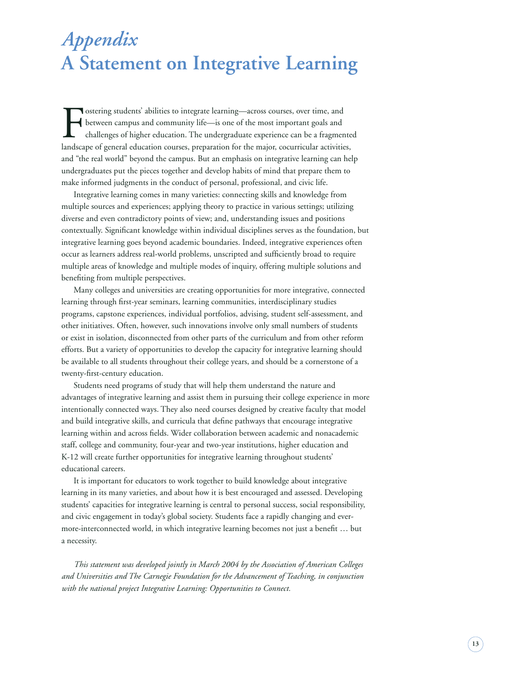# *Appendix* **A Statement on Integrative Learning**

Fostering students' abilities to integrate learning—across courses, over time, and<br>between campus and community life—is one of the most important goals and<br>challenges of higher education. The undergraduate experience can b between campus and community life—is one of the most important goals and challenges of higher education. The undergraduate experience can be a fragmented landscape of general education courses, preparation for the major, cocurricular activities, and "the real world" beyond the campus. But an emphasis on integrative learning can help undergraduates put the pieces together and develop habits of mind that prepare them to make informed judgments in the conduct of personal, professional, and civic life.

Integrative learning comes in many varieties: connecting skills and knowledge from multiple sources and experiences; applying theory to practice in various settings; utilizing diverse and even contradictory points of view; and, understanding issues and positions contextually. Significant knowledge within individual disciplines serves as the foundation, but integrative learning goes beyond academic boundaries. Indeed, integrative experiences often occur as learners address real-world problems, unscripted and sufficiently broad to require multiple areas of knowledge and multiple modes of inquiry, offering multiple solutions and benefiting from multiple perspectives.

Many colleges and universities are creating opportunities for more integrative, connected learning through first-year seminars, learning communities, interdisciplinary studies programs, capstone experiences, individual portfolios, advising, student self-assessment, and other initiatives. Often, however, such innovations involve only small numbers of students or exist in isolation, disconnected from other parts of the curriculum and from other reform efforts. But a variety of opportunities to develop the capacity for integrative learning should be available to all students throughout their college years, and should be a cornerstone of a twenty-first-century education.

Students need programs of study that will help them understand the nature and advantages of integrative learning and assist them in pursuing their college experience in more intentionally connected ways. They also need courses designed by creative faculty that model and build integrative skills, and curricula that define pathways that encourage integrative learning within and across fields. Wider collaboration between academic and nonacademic staff, college and community, four-year and two-year institutions, higher education and K-12 will create further opportunities for integrative learning throughout students' educational careers.

It is important for educators to work together to build knowledge about integrative learning in its many varieties, and about how it is best encouraged and assessed. Developing students' capacities for integrative learning is central to personal success, social responsibility, and civic engagement in today's global society. Students face a rapidly changing and evermore-interconnected world, in which integrative learning becomes not just a benefi t … but a necessity.

*This statement was developed jointly in March 2004 by the Association of American Colleges and Universities and The Carnegie Foundation for the Advancement of Teaching, in conjunction with the national project Integrative Learning: Opportunities to Connect.*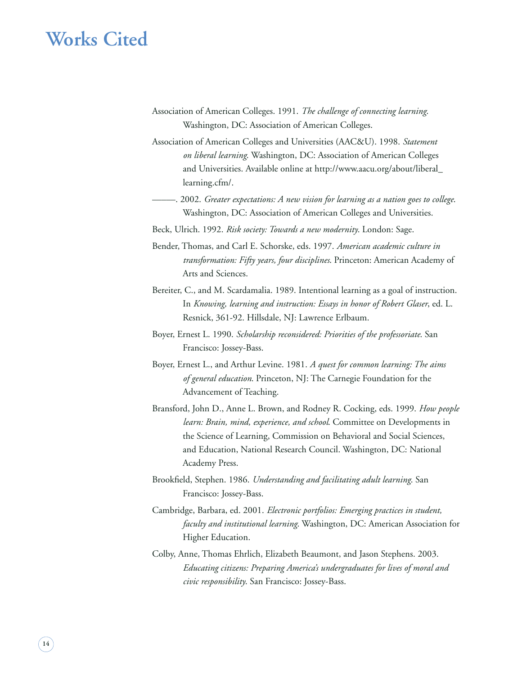### **Works Cited**

- Association of American Colleges. 1991. *The challenge of connecting learning*. Washington, DC: Association of American Colleges.
- Association of American Colleges and Universities (AAC&U). 1998. *Statement on liberal learning*. Washington, DC: Association of American Colleges and Universities. Available online at http://www.aacu.org/about/liberal\_ learning.cfm/.
- –––––. 2002. *Greater expectations: A new vision for learning as a nation goes to college*. Washington, DC: Association of American Colleges and Universities.
- Beck, Ulrich. 1992. *Risk society: Towards a new modernity*. London: Sage.
- Bender, Thomas, and Carl E. Schorske, eds. 1997. *American academic culture in transformation: Fifty years, four disciplines*. Princeton: American Academy of Arts and Sciences.
- Bereiter, C., and M. Scardamalia. 1989. Intentional learning as a goal of instruction. In *Knowing, learning and instruction: Essays in honor of Robert Glaser*, ed. L. Resnick, 361-92. Hillsdale, NJ: Lawrence Erlbaum.
- Boyer, Ernest L. 1990. *Scholarship reconsidered: Priorities of the professoriate*. San Francisco: Jossey-Bass.
- Boyer, Ernest L., and Arthur Levine. 1981. *A quest for common learning: The aims of general education*. Princeton, NJ: The Carnegie Foundation for the Advancement of Teaching.
- Bransford, John D., Anne L. Brown, and Rodney R. Cocking, eds. 1999. *How people learn: Brain, mind, experience, and school*. Committee on Developments in the Science of Learning, Commission on Behavioral and Social Sciences, and Education, National Research Council. Washington, DC: National Academy Press.
- Brookfield, Stephen. 1986. *Understanding and facilitating adult learning*. San Francisco: Jossey-Bass.
- Cambridge, Barbara, ed. 2001. *Electronic portfolios: Emerging practices in student, faculty and institutional learning*. Washington, DC: American Association for Higher Education.
- Colby, Anne, Thomas Ehrlich, Elizabeth Beaumont, and Jason Stephens. 2003. *Educating citizens: Preparing America's undergraduates for lives of moral and civic responsibility*. San Francisco: Jossey-Bass.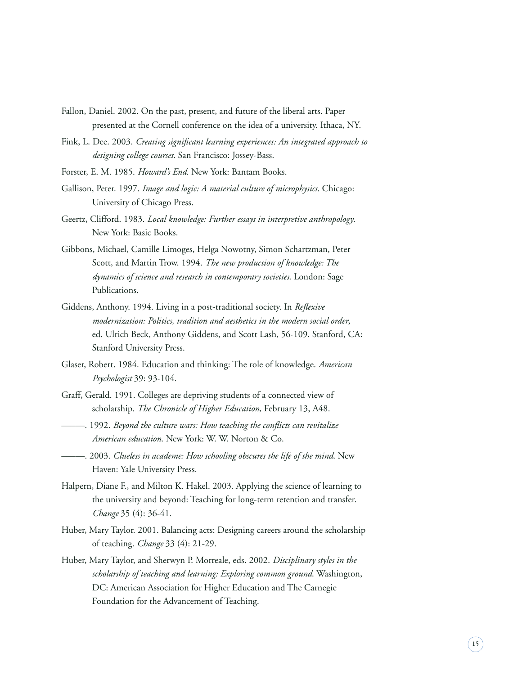- Fallon, Daniel. 2002. On the past, present, and future of the liberal arts. Paper presented at the Cornell conference on the idea of a university. Ithaca, NY.
- Fink, L. Dee. 2003. *Creating significant learning experiences: An integrated approach to designing college courses*. San Francisco: Jossey-Bass.
- Forster, E. M. 1985. *Howard's End*. New York: Bantam Books.
- Gallison, Peter. 1997. *Image and logic: A material culture of microphysics*. Chicago: University of Chicago Press.
- Geertz, Clifford. 1983. *Local knowledge: Further essays in interpretive anthropology*. New York: Basic Books.
- Gibbons, Michael, Camille Limoges, Helga Nowotny, Simon Schartzman, Peter Scott, and Martin Trow. 1994. *The new production of knowledge: The dynamics of science and research in contemporary societies*. London: Sage Publications.
- Giddens, Anthony. 1994. Living in a post-traditional society. In *Reflexive modernization: Politics, tradition and aesthetics in the modern social order*, ed. Ulrich Beck, Anthony Giddens, and Scott Lash, 56-109. Stanford, CA: Stanford University Press.
- Glaser, Robert. 1984. Education and thinking: The role of knowledge. *American Psychologist* 39: 93-104.
- Graff, Gerald. 1991. Colleges are depriving students of a connected view of scholarship. *The Chronicle of Higher Education*, February 13, A48.
- —–. 1992. *Beyond the culture wars: How teaching the conflicts can revitalize American education*. New York: W. W. Norton & Co.
- –––––. 2003. *Clueless in academe: How schooling obscures the life of the mind*. New Haven: Yale University Press.
- Halpern, Diane F., and Milton K. Hakel. 2003. Applying the science of learning to the university and beyond: Teaching for long-term retention and transfer. *Change* 35 (4): 36-41.
- Huber, Mary Taylor. 2001. Balancing acts: Designing careers around the scholarship of teaching. *Change* 33 (4): 21-29.
- Huber, Mary Taylor, and Sherwyn P. Morreale, eds. 2002. *Disciplinary styles in the scholarship of teaching and learning: Exploring common ground*. Washington, DC: American Association for Higher Education and The Carnegie Foundation for the Advancement of Teaching.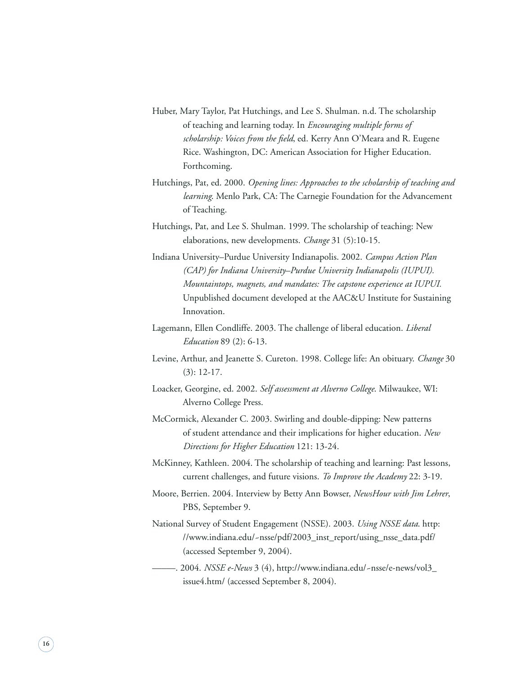- Huber, Mary Taylor, Pat Hutchings, and Lee S. Shulman. n.d. The scholarship of teaching and learning today. In *Encouraging multiple forms of scholarship: Voices from the fi eld*, ed. Kerry Ann O'Meara and R. Eugene Rice. Washington, DC: American Association for Higher Education. Forthcoming.
- Hutchings, Pat, ed. 2000. *Opening lines: Approaches to the scholarship of teaching and learning*. Menlo Park, CA: The Carnegie Foundation for the Advancement of Teaching.
- Hutchings, Pat, and Lee S. Shulman. 1999. The scholarship of teaching: New elaborations, new developments. *Change* 31 (5):10-15.
- Indiana University–Purdue University Indianapolis. 2002. *Campus Action Plan (CAP) for Indiana University–Purdue University Indianapolis (IUPUI). Mountaintops, magnets, and mandates: The capstone experience at IUPUI.* Unpublished document developed at the AAC&U Institute for Sustaining Innovation.
- Lagemann, Ellen Condliffe. 2003. The challenge of liberal education. *Liberal Education* 89 (2): 6-13.
- Levine, Arthur, and Jeanette S. Cureton. 1998. College life: An obituary. *Change* 30 (3): 12-17.
- Loacker, Georgine, ed. 2002. *Self assessment at Alverno College*. Milwaukee, WI: Alverno College Press.
- McCormick, Alexander C. 2003. Swirling and double-dipping: New patterns of student attendance and their implications for higher education. *New Directions for Higher Education* 121: 13-24.
- McKinney, Kathleen. 2004. The scholarship of teaching and learning: Past lessons, current challenges, and future visions. *To Improve the Academy* 22: 3-19.
- Moore, Berrien. 2004. Interview by Betty Ann Bowser, *NewsHour with Jim Lehrer*, PBS, September 9.
- National Survey of Student Engagement (NSSE). 2003. *Using NSSE data*. http: //www.indiana.edu/~nsse/pdf/2003\_inst\_report/using\_nsse\_data.pdf/ (accessed September 9, 2004).
- –––––. 2004. *NSSE e-News* 3 (4), http://www.indiana.edu/~nsse/e-news/vol3\_ issue4.htm/ (accessed September 8, 2004).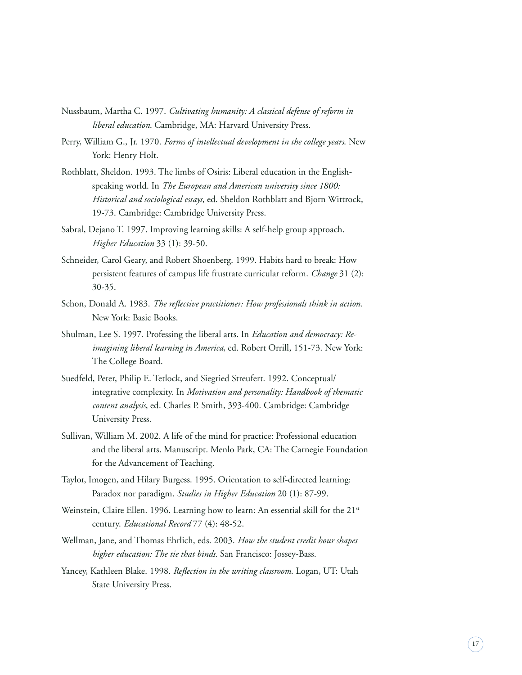- Nussbaum, Martha C. 1997. *Cultivating humanity: A classical defense of reform in liberal education*. Cambridge, MA: Harvard University Press.
- Perry, William G., Jr. 1970. *Forms of intellectual development in the college years*. New York: Henry Holt.
- Rothblatt, Sheldon. 1993. The limbs of Osiris: Liberal education in the Englishspeaking world. In *The European and American university since 1800: Historical and sociological essays*, ed. Sheldon Rothblatt and Bjorn Wittrock, 19-73. Cambridge: Cambridge University Press.
- Sabral, Dejano T. 1997. Improving learning skills: A self-help group approach. *Higher Education* 33 (1): 39-50.
- Schneider, Carol Geary, and Robert Shoenberg. 1999. Habits hard to break: How persistent features of campus life frustrate curricular reform. *Change* 31 (2): 30-35.
- Schon, Donald A. 1983. *The reflective practitioner: How professionals think in action*. New York: Basic Books.
- Shulman, Lee S. 1997. Professing the liberal arts. In *Education and democracy: Reimagining liberal learning in America*, ed. Robert Orrill, 151-73. New York: The College Board.
- Suedfeld, Peter, Philip E. Tetlock, and Siegried Streufert. 1992. Conceptual/ integrative complexity. In *Motivation and personality: Handbook of thematic content analysis*, ed. Charles P. Smith, 393-400. Cambridge: Cambridge University Press.
- Sullivan, William M. 2002. A life of the mind for practice: Professional education and the liberal arts. Manuscript. Menlo Park, CA: The Carnegie Foundation for the Advancement of Teaching.
- Taylor, Imogen, and Hilary Burgess. 1995. Orientation to self-directed learning: Paradox nor paradigm. *Studies in Higher Education* 20 (1): 87-99.
- Weinstein, Claire Ellen. 1996. Learning how to learn: An essential skill for the 21<sup>st</sup> century. *Educational Record* 77 (4): 48-52.
- Wellman, Jane, and Thomas Ehrlich, eds. 2003. *How the student credit hour shapes higher education: The tie that binds*. San Francisco: Jossey-Bass.
- Yancey, Kathleen Blake. 1998. *Reflection in the writing classroom*. Logan, UT: Utah State University Press.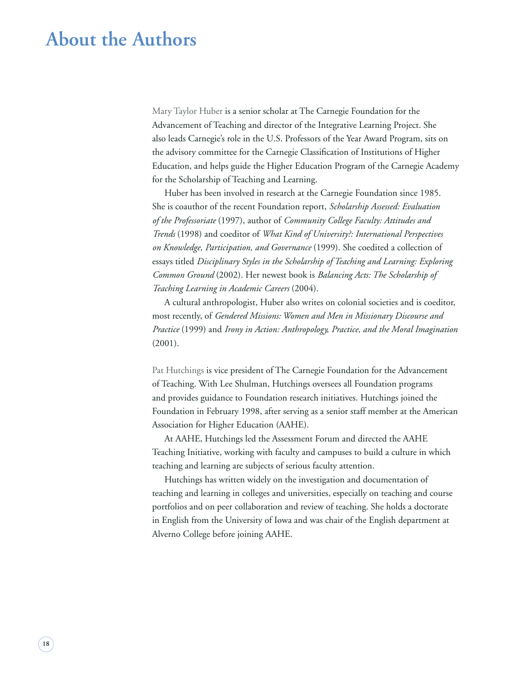### **About the Authors**

Mary Taylor Huber is a senior scholar at The Carnegie Foundation for the Advancement of Teaching and director of the Integrative Learning Project. She also leads Carnegie's role in the U.S. Professors of the Year Award Program, sits on the advisory committee for the Carnegie Classification of Institutions of Higher Education, and helps guide the Higher Education Program of the Carnegie Academy for the Scholarship of Teaching and Learning.

Huber has been involved in research at the Carnegie Foundation since 1985. She is coauthor of the recent Foundation report, *Scholarship Assessed: Evaluation of the Professoriate* (1997), author of *Community College Faculty: Attitudes and Trends* (1998) and coeditor of *What Kind of University?: International Perspectives on Knowledge, Participation, and Governance* (1999). She coedited a collection of essays titled *Disciplinary Styles in the Scholarship of Teaching and Learning: Exploring Common Ground* (2002). Her newest book is *Balancing Acts: The Scholarship of Teaching Learning in Academic Careers* (2004).

A cultural anthropologist, Huber also writes on colonial societies and is coeditor, most recently, of *Gendered Missions: Women and Men in Missionary Discourse and Practice* (1999) and *Irony in Action: Anthropology, Practice, and the Moral Imagination* (2001).

Pat Hutchings is vice president of The Carnegie Foundation for the Advancement of Teaching. With Lee Shulman, Hutchings oversees all Foundation programs and provides guidance to Foundation research initiatives. Hutchings joined the Foundation in February 1998, after serving as a senior staff member at the American Association for Higher Education (AAHE).

At AAHE, Hutchings led the Assessment Forum and directed the AAHE Teaching Initiative, working with faculty and campuses to build a culture in which teaching and learning are subjects of serious faculty attention.

Hutchings has written widely on the investigation and documentation of teaching and learning in colleges and universities, especially on teaching and course portfolios and on peer collaboration and review of teaching. She holds a doctorate in English from the University of Iowa and was chair of the English department at Alverno College before joining AAHE.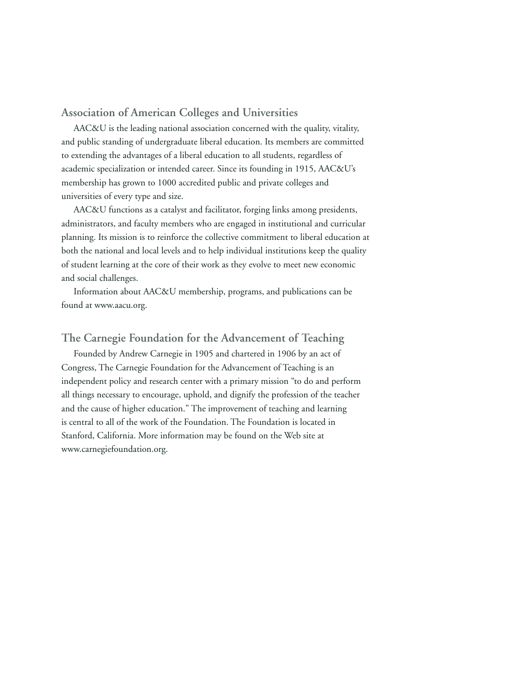#### **Association of American Colleges and Universities**

AAC&U is the leading national association concerned with the quality, vitality, and public standing of undergraduate liberal education. Its members are committed to extending the advantages of a liberal education to all students, regardless of academic specialization or intended career. Since its founding in 1915, AAC&U's membership has grown to 1000 accredited public and private colleges and universities of every type and size.

AAC&U functions as a catalyst and facilitator, forging links among presidents, administrators, and faculty members who are engaged in institutional and curricular planning. Its mission is to reinforce the collective commitment to liberal education at both the national and local levels and to help individual institutions keep the quality of student learning at the core of their work as they evolve to meet new economic and social challenges.

Information about AAC&U membership, programs, and publications can be found at www.aacu.org.

**The Carnegie Foundation for the Advancement of Teaching**

Founded by Andrew Carnegie in 1905 and chartered in 1906 by an act of Congress, The Carnegie Foundation for the Advancement of Teaching is an independent policy and research center with a primary mission "to do and perform all things necessary to encourage, uphold, and dignify the profession of the teacher and the cause of higher education." The improvement of teaching and learning is central to all of the work of the Foundation. The Foundation is located in Stanford, California. More information may be found on the Web site at www.carnegiefoundation.org.